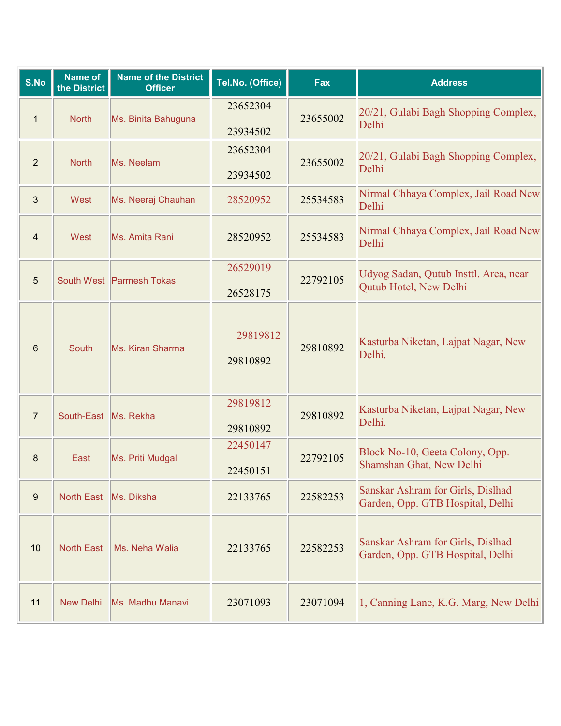| S.No           | Name of<br>the District | <b>Name of the District</b><br><b>Officer</b> | Tel.No. (Office)     | Fax      | <b>Address</b>                                                        |
|----------------|-------------------------|-----------------------------------------------|----------------------|----------|-----------------------------------------------------------------------|
| $\mathbf{1}$   | <b>North</b>            | Ms. Binita Bahuguna                           | 23652304<br>23934502 | 23655002 | 20/21, Gulabi Bagh Shopping Complex,<br>Delhi                         |
| $\overline{2}$ | <b>North</b>            | Ms. Neelam                                    | 23652304<br>23934502 | 23655002 | 20/21, Gulabi Bagh Shopping Complex,<br>Delhi                         |
| 3              | West                    | Ms. Neeraj Chauhan                            | 28520952             | 25534583 | Nirmal Chhaya Complex, Jail Road New<br>Delhi                         |
| $\overline{4}$ | West                    | Ms. Amita Rani                                | 28520952             | 25534583 | Nirmal Chhaya Complex, Jail Road New<br>Delhi                         |
| 5              |                         | South West Parmesh Tokas                      | 26529019<br>26528175 | 22792105 | Udyog Sadan, Qutub Insttl. Area, near<br>Qutub Hotel, New Delhi       |
| 6              | <b>South</b>            | Ms. Kiran Sharma                              | 29819812<br>29810892 | 29810892 | Kasturba Niketan, Lajpat Nagar, New<br>Delhi.                         |
| $\overline{7}$ | South-East Ms. Rekha    |                                               | 29819812<br>29810892 | 29810892 | Kasturba Niketan, Lajpat Nagar, New<br>Delhi.                         |
| 8              | East                    | Ms. Priti Mudgal                              | 22450147<br>22450151 | 22792105 | Block No-10, Geeta Colony, Opp.<br>Shamshan Ghat, New Delhi           |
| 9              | <b>North East</b>       | Ms. Diksha                                    | 22133765             | 22582253 | Sanskar Ashram for Girls, Dislhad<br>Garden, Opp. GTB Hospital, Delhi |
| 10             | <b>North East</b>       | Ms. Neha Walia                                | 22133765             | 22582253 | Sanskar Ashram for Girls, Dislhad<br>Garden, Opp. GTB Hospital, Delhi |
| 11             | <b>New Delhi</b>        | Ms. Madhu Manavi                              | 23071093             | 23071094 | 1, Canning Lane, K.G. Marg, New Delhi                                 |